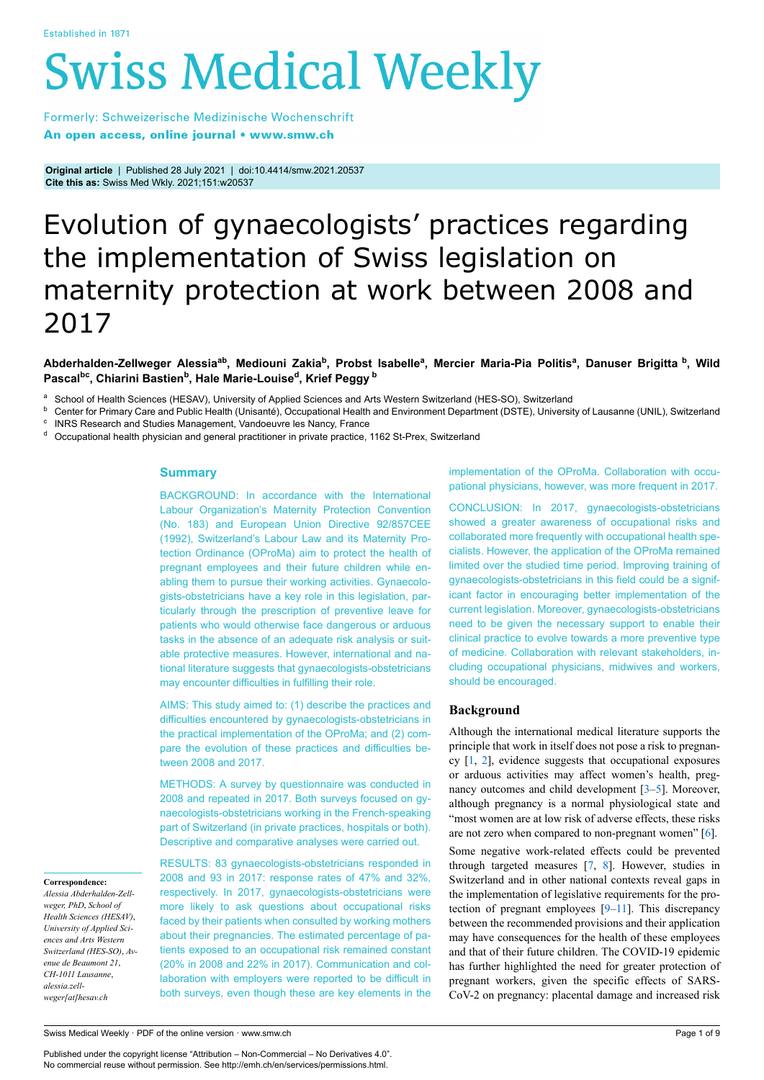# **Swiss Medical Weekly**

Formerly: Schweizerische Medizinische Wochenschrift An open access, online journal • www.smw.ch

**Original article** | Published 28 July 2021 | doi:10.4414/smw.2021.20537 **Cite this as:** Swiss Med Wkly. 2021;151:w20537

# Evolution of gynaecologists' practices regarding the implementation of Swiss legislation on maternity protection at work between 2008 and 2017

# Abderhalden-Zellweger Alessia<sup>ab</sup>, Mediouni Zakia<sup>b</sup>, Probst Isabelle<sup>a</sup>, Mercier Maria-Pia Politis<sup>a</sup>, Danuser Brigitta <sup>b</sup>, Wild **Pascalbc , Chiarini Bastien<sup>b</sup> , Hale Marie-Louise<sup>d</sup> , Krief Peggy <sup>b</sup>**

a School of Health Sciences (HESAV), University of Applied Sciences and Arts Western Switzerland (HES-SO), Switzerland

**b** Center for Primary Care and Public Health (Unisanté), Occupational Health and Environment Department (DSTE), University of Lausanne (UNIL), Switzerland c INRS Research and Studies Management, Vandoeuvre les Nancy, France

<sup>d</sup> Occupational health physician and general practitioner in private practice, 1162 St-Prex, Switzerland

# **Summary**

BACKGROUND: In accordance with the International Labour Organization's Maternity Protection Convention (No. 183) and European Union Directive 92/857CEE (1992), Switzerland's Labour Law and its Maternity Protection Ordinance (OProMa) aim to protect the health of pregnant employees and their future children while enabling them to pursue their working activities. Gynaecologists-obstetricians have a key role in this legislation, particularly through the prescription of preventive leave for patients who would otherwise face dangerous or arduous tasks in the absence of an adequate risk analysis or suitable protective measures. However, international and national literature suggests that gynaecologists-obstetricians may encounter difficulties in fulfilling their role.

AIMS: This study aimed to: (1) describe the practices and difficulties encountered by gynaecologists-obstetricians in the practical implementation of the OProMa; and (2) compare the evolution of these practices and difficulties between 2008 and 2017.

METHODS: A survey by questionnaire was conducted in 2008 and repeated in 2017. Both surveys focused on gynaecologists-obstetricians working in the French-speaking part of Switzerland (in private practices, hospitals or both). Descriptive and comparative analyses were carried out.

#### **Correspondence:**

*Alessia Abderhalden-Zellweger, PhD*, *School of Health Sciences (HESAV)*, *University of Applied Sciences and Arts Western Switzerland (HES-SO)*, *Avenue de Beaumont 21*, *CH-1011 Lausanne*, *alessia.zellweger[at]hesav.ch*

RESULTS: 83 gynaecologists-obstetricians responded in 2008 and 93 in 2017: response rates of 47% and 32%, respectively. In 2017, gynaecologists-obstetricians were more likely to ask questions about occupational risks faced by their patients when consulted by working mothers about their pregnancies. The estimated percentage of patients exposed to an occupational risk remained constant (20% in 2008 and 22% in 2017). Communication and collaboration with employers were reported to be difficult in both surveys, even though these are key elements in the implementation of the OProMa. Collaboration with occupational physicians, however, was more frequent in 2017.

CONCLUSION: In 2017, gynaecologists-obstetricians showed a greater awareness of occupational risks and collaborated more frequently with occupational health specialists. However, the application of the OProMa remained limited over the studied time period. Improving training of gynaecologists-obstetricians in this field could be a significant factor in encouraging better implementation of the current legislation. Moreover, gynaecologists-obstetricians need to be given the necessary support to enable their clinical practice to evolve towards a more preventive type of medicine. Collaboration with relevant stakeholders, including occupational physicians, midwives and workers, should be encouraged.

# **Background**

Although the international medical literature supports the principle that work in itself does not pose a risk to pregnancy [\[1,](#page-7-0) [2](#page-7-1)], evidence suggests that occupational exposures or arduous activities may affect women's health, pregnancy outcomes and child development [\[3–](#page-8-0)[5\]](#page-8-1). Moreover, although pregnancy is a normal physiological state and "most women are at low risk of adverse effects, these risks are not zero when compared to non-pregnant women" [\[6\]](#page-8-2).

Some negative work-related effects could be prevented through targeted measures [\[7,](#page-8-3) [8](#page-8-4)]. However, studies in Switzerland and in other national contexts reveal gaps in the implementation of legislative requirements for the protection of pregnant employees [\[9](#page-8-5)[–11\]](#page-8-6). This discrepancy between the recommended provisions and their application may have consequences for the health of these employees and that of their future children. The COVID-19 epidemic has further highlighted the need for greater protection of pregnant workers, given the specific effects of SARS-CoV-2 on pregnancy: placental damage and increased risk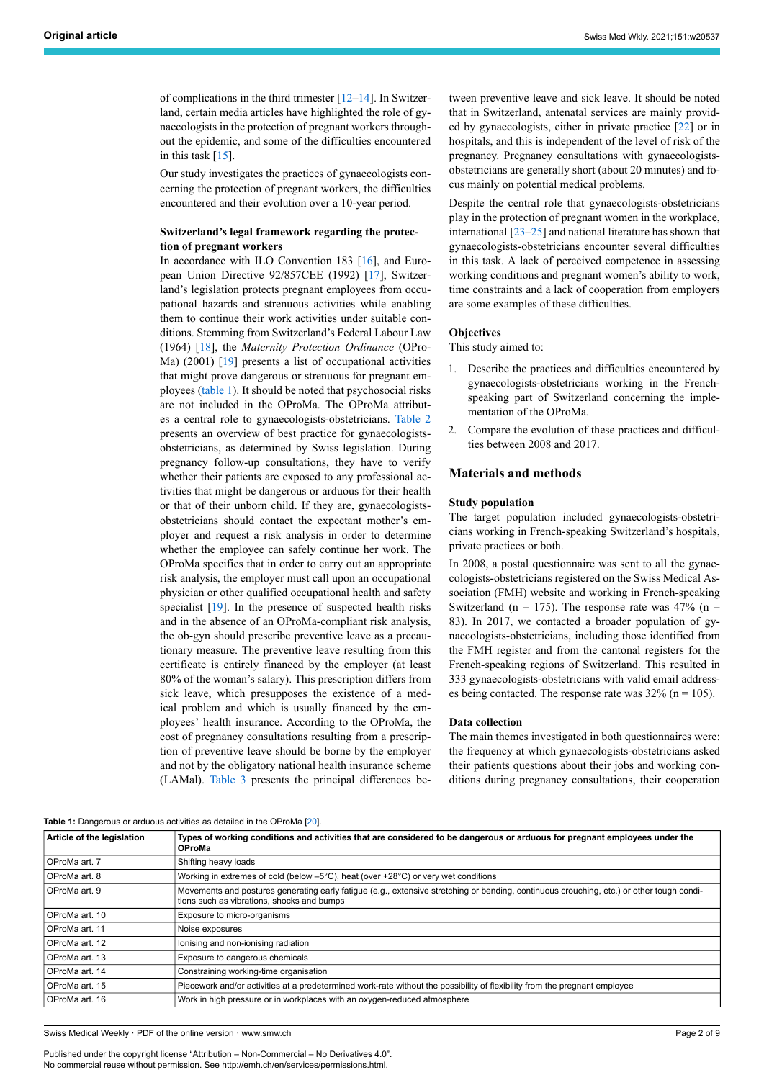of complications in the third trimester  $[12–14]$  $[12–14]$  $[12–14]$  $[12–14]$ . In Switzerland, certain media articles have highlighted the role of gynaecologists in the protection of pregnant workers throughout the epidemic, and some of the difficulties encountered in this task [[15\]](#page-8-9).

Our study investigates the practices of gynaecologists concerning the protection of pregnant workers, the difficulties encountered and their evolution over a 10-year period.

# **Switzerland's legal framework regarding the protection of pregnant workers**

In accordance with ILO Convention 183 [[16\]](#page-8-10), and Euro-pean Union Directive 92/857CEE (1992) [\[17](#page-8-11)], Switzerland's legislation protects pregnant employees from occupational hazards and strenuous activities while enabling them to continue their work activities under suitable conditions. Stemming from Switzerland's Federal Labour Law (1964) [\[18](#page-8-12)], the *Maternity Protection Ordinance* (OPro-Ma) (2001) [\[19](#page-8-13)] presents a list of occupational activities that might prove dangerous or strenuous for pregnant employees [\(table 1](#page-1-0)). It should be noted that psychosocial risks are not included in the OProMa. The OProMa attributes a central role to gynaecologists-obstetricians. [Table 2](#page-2-0) presents an overview of best practice for gynaecologistsobstetricians, as determined by Swiss legislation. During pregnancy follow-up consultations, they have to verify whether their patients are exposed to any professional activities that might be dangerous or arduous for their health or that of their unborn child. If they are, gynaecologistsobstetricians should contact the expectant mother's employer and request a risk analysis in order to determine whether the employee can safely continue her work. The OProMa specifies that in order to carry out an appropriate risk analysis, the employer must call upon an occupational physician or other qualified occupational health and safety specialist [[19\]](#page-8-13). In the presence of suspected health risks and in the absence of an OProMa-compliant risk analysis, the ob-gyn should prescribe preventive leave as a precautionary measure. The preventive leave resulting from this certificate is entirely financed by the employer (at least 80% of the woman's salary). This prescription differs from sick leave, which presupposes the existence of a medical problem and which is usually financed by the employees' health insurance. According to the OProMa, the cost of pregnancy consultations resulting from a prescription of preventive leave should be borne by the employer and not by the obligatory national health insurance scheme (LAMal). [Table 3](#page-2-1) presents the principal differences between preventive leave and sick leave. It should be noted that in Switzerland, antenatal services are mainly provided by gynaecologists, either in private practice [[22\]](#page-8-14) or in hospitals, and this is independent of the level of risk of the pregnancy. Pregnancy consultations with gynaecologistsobstetricians are generally short (about 20 minutes) and focus mainly on potential medical problems.

Despite the central role that gynaecologists-obstetricians play in the protection of pregnant women in the workplace, international  $\left[23-25\right]$  $\left[23-25\right]$  $\left[23-25\right]$  and national literature has shown that gynaecologists-obstetricians encounter several difficulties in this task. A lack of perceived competence in assessing working conditions and pregnant women's ability to work, time constraints and a lack of cooperation from employers are some examples of these difficulties.

#### **Objectives**

This study aimed to:

- 1. Describe the practices and difficulties encountered by gynaecologists-obstetricians working in the Frenchspeaking part of Switzerland concerning the implementation of the OProMa.
- 2. Compare the evolution of these practices and difficulties between 2008 and 2017.

# **Materials and methods**

#### **Study population**

The target population included gynaecologists-obstetricians working in French-speaking Switzerland's hospitals, private practices or both.

In 2008, a postal questionnaire was sent to all the gynaecologists-obstetricians registered on the Swiss Medical Association (FMH) website and working in French-speaking Switzerland (n = 175). The response rate was  $47\%$  (n = 83). In 2017, we contacted a broader population of gynaecologists-obstetricians, including those identified from the FMH register and from the cantonal registers for the French-speaking regions of Switzerland. This resulted in 333 gynaecologists-obstetricians with valid email addresses being contacted. The response rate was  $32\%$  (n = 105).

### **Data collection**

The main themes investigated in both questionnaires were: the frequency at which gynaecologists-obstetricians asked their patients questions about their jobs and working conditions during pregnancy consultations, their cooperation

#### <span id="page-1-0"></span>**Table 1:** Dangerous or arduous activities as detailed in the OProMa [\[20](#page-8-0)].

| Article of the legislation | Types of working conditions and activities that are considered to be dangerous or arduous for pregnant employees under the<br><b>OProMa</b>                                             |
|----------------------------|-----------------------------------------------------------------------------------------------------------------------------------------------------------------------------------------|
| OProMa art. 7              | Shifting heavy loads                                                                                                                                                                    |
| OProMa art. 8              | Working in extremes of cold (below $-5^{\circ}$ C), heat (over $+28^{\circ}$ C) or very wet conditions                                                                                  |
| OProMa art. 9              | Movements and postures generating early fatigue (e.g., extensive stretching or bending, continuous crouching, etc.) or other tough condi-<br>tions such as vibrations, shocks and bumps |
| OProMa art. 10             | Exposure to micro-organisms                                                                                                                                                             |
| OProMa art. 11             | Noise exposures                                                                                                                                                                         |
| OProMa art. 12             | lonising and non-ionising radiation                                                                                                                                                     |
| OProMa art. 13             | Exposure to dangerous chemicals                                                                                                                                                         |
| OProMa art. 14             | Constraining working-time organisation                                                                                                                                                  |
| OProMa art. 15             | Piecework and/or activities at a predetermined work-rate without the possibility of flexibility from the pregnant employee                                                              |
| OProMa art. 16             | Work in high pressure or in workplaces with an oxygen-reduced atmosphere                                                                                                                |
|                            |                                                                                                                                                                                         |

Swiss Medical Weekly · PDF of the online version · www.smw.ch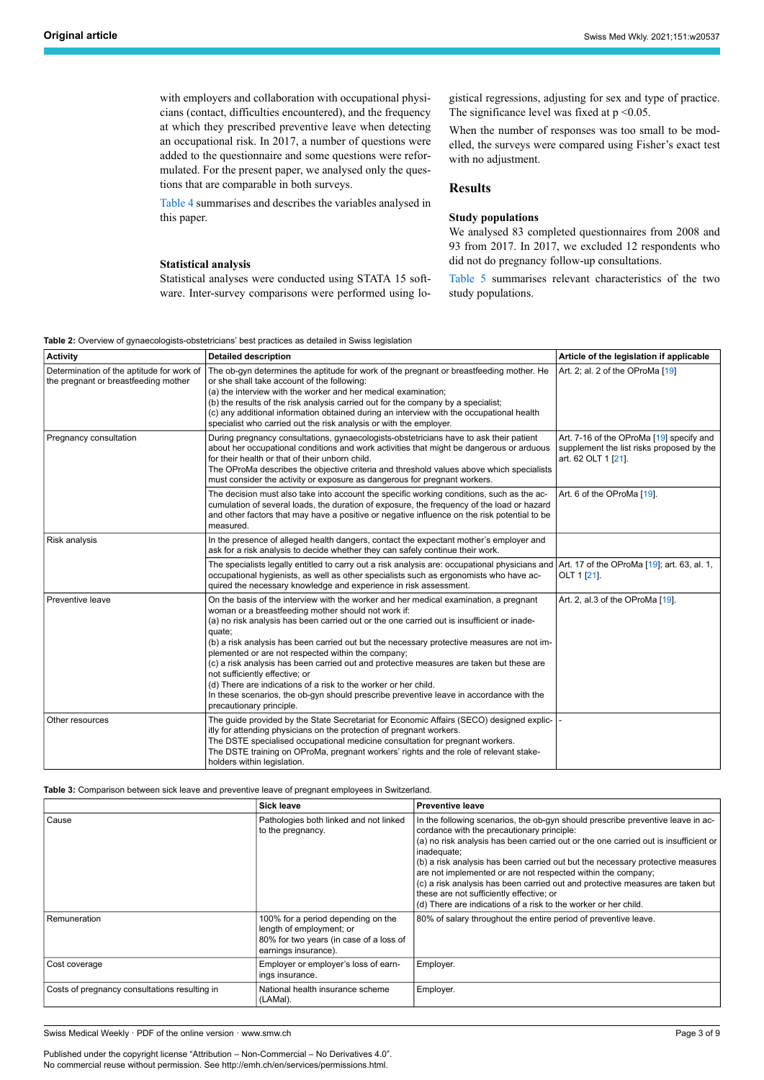with employers and collaboration with occupational physicians (contact, difficulties encountered), and the frequency at which they prescribed preventive leave when detecting an occupational risk. In 2017, a number of questions were added to the questionnaire and some questions were reformulated. For the present paper, we analysed only the questions that are comparable in both surveys.

[Table 4](#page-3-0) summarises and describes the variables analysed in this paper.

#### **Statistical analysis**

Statistical analyses were conducted using STATA 15 software. Inter-survey comparisons were performed using logistical regressions, adjusting for sex and type of practice. The significance level was fixed at  $p < 0.05$ .

When the number of responses was too small to be modelled, the surveys were compared using Fisher's exact test with no adjustment.

# **Results**

# **Study populations**

We analysed 83 completed questionnaires from 2008 and 93 from 2017. In 2017, we excluded 12 respondents who did not do pregnancy follow-up consultations.

[Table 5](#page-3-1) summarises relevant characteristics of the two study populations.

| <b>Table 2:</b> Overview of gynaecologists-obstetricians' best practices as detailed in Swiss legislation |
|-----------------------------------------------------------------------------------------------------------|
|-----------------------------------------------------------------------------------------------------------|

<span id="page-2-0"></span>

| <b>Activity</b>                                                                   | <b>Detailed description</b>                                                                                                                                                                                                                                                                                                                                                                                                                                                                                                                                                                                                                                                                                                      | Article of the legislation if applicable                                                                     |
|-----------------------------------------------------------------------------------|----------------------------------------------------------------------------------------------------------------------------------------------------------------------------------------------------------------------------------------------------------------------------------------------------------------------------------------------------------------------------------------------------------------------------------------------------------------------------------------------------------------------------------------------------------------------------------------------------------------------------------------------------------------------------------------------------------------------------------|--------------------------------------------------------------------------------------------------------------|
| Determination of the aptitude for work of<br>the pregnant or breastfeeding mother | The ob-gyn determines the aptitude for work of the pregnant or breastfeeding mother. He<br>or she shall take account of the following:<br>(a) the interview with the worker and her medical examination;<br>(b) the results of the risk analysis carried out for the company by a specialist;<br>(c) any additional information obtained during an interview with the occupational health<br>specialist who carried out the risk analysis or with the employer.                                                                                                                                                                                                                                                                  | Art. 2; al. 2 of the OProMa [19]                                                                             |
| Pregnancy consultation                                                            | During pregnancy consultations, gynaecologists-obstetricians have to ask their patient<br>about her occupational conditions and work activities that might be dangerous or arduous<br>for their health or that of their unborn child.<br>The OProMa describes the objective criteria and threshold values above which specialists<br>must consider the activity or exposure as dangerous for pregnant workers.                                                                                                                                                                                                                                                                                                                   | Art. 7-16 of the OProMa [19] specify and<br>supplement the list risks proposed by the<br>art. 62 OLT 1 [21]. |
|                                                                                   | The decision must also take into account the specific working conditions, such as the ac-<br>cumulation of several loads, the duration of exposure, the frequency of the load or hazard<br>and other factors that may have a positive or negative influence on the risk potential to be<br>measured.                                                                                                                                                                                                                                                                                                                                                                                                                             | Art. 6 of the OProMa [19].                                                                                   |
| Risk analysis                                                                     | In the presence of alleged health dangers, contact the expectant mother's employer and<br>ask for a risk analysis to decide whether they can safely continue their work.                                                                                                                                                                                                                                                                                                                                                                                                                                                                                                                                                         |                                                                                                              |
|                                                                                   | The specialists legally entitled to carry out a risk analysis are: occupational physicians and Art. 17 of the OProMa [19]; art. 63, al. 1,<br>occupational hygienists, as well as other specialists such as ergonomists who have ac-<br>quired the necessary knowledge and experience in risk assessment.                                                                                                                                                                                                                                                                                                                                                                                                                        | OLT 1 [21].                                                                                                  |
| Preventive leave                                                                  | On the basis of the interview with the worker and her medical examination, a pregnant<br>woman or a breastfeeding mother should not work if:<br>(a) no risk analysis has been carried out or the one carried out is insufficient or inade-<br>quate;<br>(b) a risk analysis has been carried out but the necessary protective measures are not im-<br>plemented or are not respected within the company;<br>(c) a risk analysis has been carried out and protective measures are taken but these are<br>not sufficiently effective; or<br>(d) There are indications of a risk to the worker or her child.<br>In these scenarios, the ob-gyn should prescribe preventive leave in accordance with the<br>precautionary principle. | Art. 2, al.3 of the OProMa [19].                                                                             |
| Other resources                                                                   | The guide provided by the State Secretariat for Economic Affairs (SECO) designed explic-<br>itly for attending physicians on the protection of pregnant workers.<br>The DSTE specialised occupational medicine consultation for pregnant workers.<br>The DSTE training on OProMa, pregnant workers' rights and the role of relevant stake-<br>holders within legislation.                                                                                                                                                                                                                                                                                                                                                        |                                                                                                              |

#### <span id="page-2-1"></span>**Table 3:** Comparison between sick leave and preventive leave of pregnant employees in Switzerland.

|                                               | <b>Sick leave</b>                                                                                                                 | <b>Preventive leave</b>                                                                                                                                                                                                                                                                                                                                                                                                                                                                                                                                                                |
|-----------------------------------------------|-----------------------------------------------------------------------------------------------------------------------------------|----------------------------------------------------------------------------------------------------------------------------------------------------------------------------------------------------------------------------------------------------------------------------------------------------------------------------------------------------------------------------------------------------------------------------------------------------------------------------------------------------------------------------------------------------------------------------------------|
| Cause                                         | Pathologies both linked and not linked<br>to the pregnancy.                                                                       | In the following scenarios, the ob-gyn should prescribe preventive leave in ac-<br>cordance with the precautionary principle:<br>(a) no risk analysis has been carried out or the one carried out is insufficient or<br>inadequate;<br>(b) a risk analysis has been carried out but the necessary protective measures<br>are not implemented or are not respected within the company;<br>(c) a risk analysis has been carried out and protective measures are taken but<br>these are not sufficiently effective; or<br>(d) There are indications of a risk to the worker or her child. |
| Remuneration                                  | 100% for a period depending on the<br>length of employment; or<br>80% for two years (in case of a loss of<br>earnings insurance). | 80% of salary throughout the entire period of preventive leave.                                                                                                                                                                                                                                                                                                                                                                                                                                                                                                                        |
| Cost coverage                                 | Employer or employer's loss of earn-<br>ings insurance.                                                                           | Employer.                                                                                                                                                                                                                                                                                                                                                                                                                                                                                                                                                                              |
| Costs of pregnancy consultations resulting in | National health insurance scheme<br>(LAMal).                                                                                      | Employer.                                                                                                                                                                                                                                                                                                                                                                                                                                                                                                                                                                              |

Swiss Medical Weekly · PDF of the online version · www.smw.ch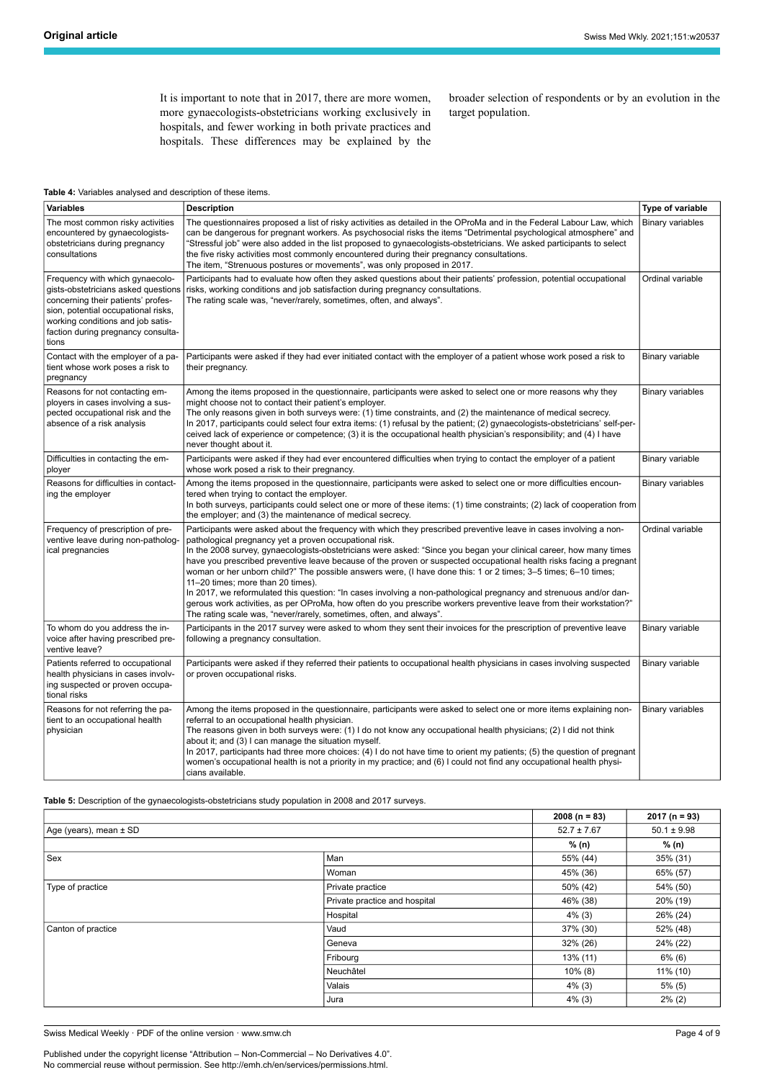It is important to note that in 2017, there are more women, more gynaecologists-obstetricians working exclusively in hospitals, and fewer working in both private practices and hospitals. These differences may be explained by the

broader selection of respondents or by an evolution in the target population.

#### <span id="page-3-0"></span>**Table 4:** Variables analysed and description of these items.

| <b>Variables</b>                                                                                                                                                                                                                        | <b>Description</b>                                                                                                                                                                                                                                                                                                                                                                                                                                                                                                                                                                                                                                                                                                                                                                                                                                                                                  | Type of variable        |
|-----------------------------------------------------------------------------------------------------------------------------------------------------------------------------------------------------------------------------------------|-----------------------------------------------------------------------------------------------------------------------------------------------------------------------------------------------------------------------------------------------------------------------------------------------------------------------------------------------------------------------------------------------------------------------------------------------------------------------------------------------------------------------------------------------------------------------------------------------------------------------------------------------------------------------------------------------------------------------------------------------------------------------------------------------------------------------------------------------------------------------------------------------------|-------------------------|
| The most common risky activities<br>encountered by gynaecologists-<br>obstetricians during pregnancy<br>consultations                                                                                                                   | The questionnaires proposed a list of risky activities as detailed in the OProMa and in the Federal Labour Law, which<br>can be dangerous for pregnant workers. As psychosocial risks the items "Detrimental psychological atmosphere" and<br>'Stressful job" were also added in the list proposed to gynaecologists-obstetricians. We asked participants to select<br>the five risky activities most commonly encountered during their pregnancy consultations.<br>The item, "Strenuous postures or movements", was only proposed in 2017.                                                                                                                                                                                                                                                                                                                                                         | <b>Binary variables</b> |
| Frequency with which gynaecolo-<br>gists-obstetricians asked questions<br>concerning their patients' profes-<br>sion, potential occupational risks,<br>working conditions and job satis-<br>faction during pregnancy consulta-<br>tions | Participants had to evaluate how often they asked questions about their patients' profession, potential occupational<br>risks, working conditions and job satisfaction during pregnancy consultations.<br>The rating scale was, "never/rarely, sometimes, often, and always".                                                                                                                                                                                                                                                                                                                                                                                                                                                                                                                                                                                                                       | Ordinal variable        |
| Contact with the employer of a pa-<br>tient whose work poses a risk to<br>pregnancy                                                                                                                                                     | Participants were asked if they had ever initiated contact with the employer of a patient whose work posed a risk to<br>their pregnancy.                                                                                                                                                                                                                                                                                                                                                                                                                                                                                                                                                                                                                                                                                                                                                            | Binary variable         |
| Reasons for not contacting em-<br>ployers in cases involving a sus-<br>pected occupational risk and the<br>absence of a risk analysis                                                                                                   | Among the items proposed in the questionnaire, participants were asked to select one or more reasons why they<br>might choose not to contact their patient's employer.<br>The only reasons given in both surveys were: (1) time constraints, and (2) the maintenance of medical secrecy.<br>In 2017, participants could select four extra items: (1) refusal by the patient; (2) gynaecologists-obstetricians' self-per-<br>ceived lack of experience or competence; (3) it is the occupational health physician's responsibility; and (4) I have<br>never thought about it.                                                                                                                                                                                                                                                                                                                        | <b>Binary variables</b> |
| Difficulties in contacting the em-<br>ployer                                                                                                                                                                                            | Participants were asked if they had ever encountered difficulties when trying to contact the employer of a patient<br>whose work posed a risk to their pregnancy.                                                                                                                                                                                                                                                                                                                                                                                                                                                                                                                                                                                                                                                                                                                                   | Binary variable         |
| Reasons for difficulties in contact-<br>ing the employer                                                                                                                                                                                | Among the items proposed in the questionnaire, participants were asked to select one or more difficulties encoun-<br>tered when trying to contact the employer.<br>In both surveys, participants could select one or more of these items: (1) time constraints; (2) lack of cooperation from<br>the employer; and (3) the maintenance of medical secrecy.                                                                                                                                                                                                                                                                                                                                                                                                                                                                                                                                           | <b>Binary variables</b> |
| Frequency of prescription of pre-<br>ventive leave during non-patholog-<br>ical pregnancies                                                                                                                                             | Participants were asked about the frequency with which they prescribed preventive leave in cases involving a non-<br>pathological pregnancy yet a proven occupational risk.<br>In the 2008 survey, gynaecologists-obstetricians were asked: "Since you began your clinical career, how many times<br>have you prescribed preventive leave because of the proven or suspected occupational health risks facing a pregnant<br>woman or her unborn child?" The possible answers were, (I have done this: 1 or 2 times; 3–5 times; 6–10 times;<br>11-20 times; more than 20 times).<br>In 2017, we reformulated this question: "In cases involving a non-pathological pregnancy and strenuous and/or dan-<br>gerous work activities, as per OProMa, how often do you prescribe workers preventive leave from their workstation?"<br>The rating scale was, "never/rarely, sometimes, often, and always". | Ordinal variable        |
| To whom do you address the in-<br>voice after having prescribed pre-<br>ventive leave?                                                                                                                                                  | Participants in the 2017 survey were asked to whom they sent their invoices for the prescription of preventive leave<br>following a pregnancy consultation.                                                                                                                                                                                                                                                                                                                                                                                                                                                                                                                                                                                                                                                                                                                                         | Binary variable         |
| Patients referred to occupational<br>health physicians in cases involv-<br>ing suspected or proven occupa-<br>tional risks                                                                                                              | Participants were asked if they referred their patients to occupational health physicians in cases involving suspected<br>or proven occupational risks.                                                                                                                                                                                                                                                                                                                                                                                                                                                                                                                                                                                                                                                                                                                                             | Binary variable         |
| Reasons for not referring the pa-<br>tient to an occupational health<br>physician                                                                                                                                                       | Among the items proposed in the questionnaire, participants were asked to select one or more items explaining non-<br>referral to an occupational health physician.<br>The reasons given in both surveys were: (1) I do not know any occupational health physicians; (2) I did not think<br>about it; and (3) I can manage the situation myself.<br>In 2017, participants had three more choices: (4) I do not have time to orient my patients; (5) the question of pregnant<br>women's occupational health is not a priority in my practice; and (6) I could not find any occupational health physi-<br>cians available.                                                                                                                                                                                                                                                                           | Binary variables        |

<span id="page-3-1"></span>**Table 5:** Description of the gynaecologists-obstetricians study population in 2008 and 2017 surveys.

|                        |                               | $2008(n = 83)$  | $2017(n = 93)$  |
|------------------------|-------------------------------|-----------------|-----------------|
| Age (years), mean ± SD |                               | $52.7 \pm 7.67$ | $50.1 \pm 9.98$ |
|                        |                               | % (n)           | % (n)           |
| Sex                    | Man                           | 55% (44)        | 35% (31)        |
|                        | Woman                         | 45% (36)        | 65% (57)        |
| Type of practice       | Private practice              | 50% (42)        | 54% (50)        |
|                        | Private practice and hospital | 46% (38)        | 20% (19)        |
|                        | Hospital                      | $4\%$ (3)       | 26% (24)        |
| Canton of practice     | Vaud                          | 37% (30)        | 52% (48)        |
|                        | Geneva                        | 32% (26)        | 24% (22)        |
|                        | Fribourg                      | 13% (11)        | $6\%$ (6)       |
|                        | Neuchâtel                     | $10\%$ (8)      | 11% (10)        |
|                        | Valais                        | $4\%$ (3)       | $5\%$ (5)       |
|                        | Jura                          | $4\%$ (3)       | $2\%$ (2)       |

Swiss Medical Weekly · PDF of the online version · www.smw.ch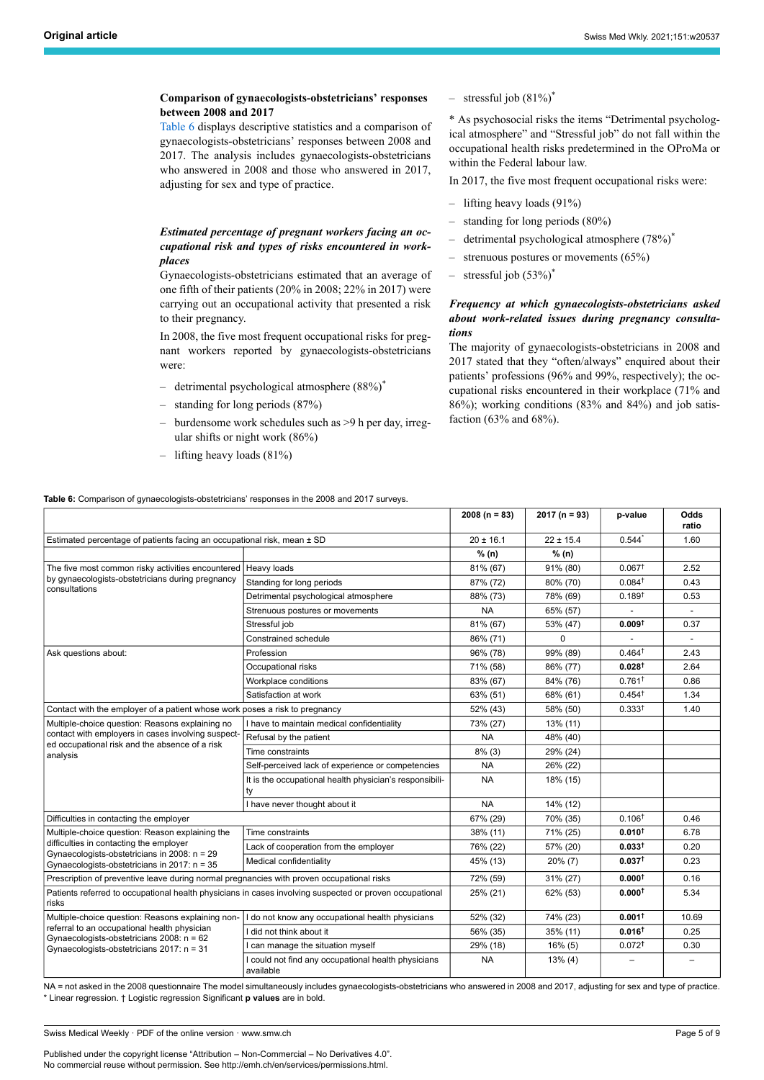## **Comparison of gynaecologists-obstetricians' responses between 2008 and 2017**

[Table 6](#page-4-0) displays descriptive statistics and a comparison of gynaecologists-obstetricians' responses between 2008 and 2017. The analysis includes gynaecologists-obstetricians who answered in 2008 and those who answered in 2017, adjusting for sex and type of practice.

# *Estimated percentage of pregnant workers facing an occupational risk and types of risks encountered in workplaces*

Gynaecologists-obstetricians estimated that an average of one fifth of their patients (20% in 2008; 22% in 2017) were carrying out an occupational activity that presented a risk to their pregnancy.

In 2008, the five most frequent occupational risks for pregnant workers reported by gynaecologists-obstetricians were:

- detrimental psychological atmosphere (88%)<sup>\*</sup>
- standing for long periods (87%)
- burdensome work schedules such as >9 h per day, irregular shifts or night work (86%)
- lifting heavy loads (81%)

<span id="page-4-0"></span>**Table 6:** Comparison of gynaecologists-obstetricians' responses in the 2008 and 2017 surveys.

 $-$  stressful job  $(81\%)^*$ 

\* As psychosocial risks the items "Detrimental psychological atmosphere" and "Stressful job" do not fall within the occupational health risks predetermined in the OProMa or within the Federal labour law.

In 2017, the five most frequent occupational risks were:

- lifting heavy loads (91%)
- standing for long periods (80%)
- detrimental psychological atmosphere (78%)<sup>\*</sup>
- strenuous postures or movements (65%)
- $-$  stressful job (53%)<sup>\*</sup>

# *Frequency at which gynaecologists-obstetricians asked about work-related issues during pregnancy consultations*

The majority of gynaecologists-obstetricians in 2008 and 2017 stated that they "often/always" enquired about their patients' professions (96% and 99%, respectively); the occupational risks encountered in their workplace (71% and 86%); working conditions (83% and 84%) and job satisfaction (63% and 68%).

|                                                                                                                  |                                                                  | $2008 (n = 83)$ | $2017 (n = 93)$ | p-value            | Odds<br>ratio            |
|------------------------------------------------------------------------------------------------------------------|------------------------------------------------------------------|-----------------|-----------------|--------------------|--------------------------|
| Estimated percentage of patients facing an occupational risk, mean ± SD                                          |                                                                  | $20 \pm 16.1$   | $22 \pm 15.4$   | $0.544*$           | 1.60                     |
|                                                                                                                  |                                                                  | % (n)           | % (n)           |                    |                          |
| The five most common risky activities encountered                                                                | Heavy loads                                                      | 81% (67)        | 91% (80)        | 0.067 <sup>†</sup> | 2.52                     |
| by gynaecologists-obstetricians during pregnancy                                                                 | Standing for long periods                                        | 87% (72)        | 80% (70)        | 0.084 <sup>†</sup> | 0.43                     |
| consultations                                                                                                    | Detrimental psychological atmosphere                             | 88% (73)        | 78% (69)        | $0.189^{+}$        | 0.53                     |
|                                                                                                                  | Strenuous postures or movements                                  | <b>NA</b>       | 65% (57)        |                    |                          |
|                                                                                                                  | Stressful job                                                    | 81% (67)        | 53% (47)        | 0.009 <sup>†</sup> | 0.37                     |
|                                                                                                                  | Constrained schedule                                             | 86% (71)        | 0               | $\blacksquare$     | $\blacksquare$           |
| Ask questions about:                                                                                             | Profession                                                       | 96% (78)        | 99% (89)        | $0.464^+$          | 2.43                     |
|                                                                                                                  | Occupational risks                                               | 71% (58)        | 86% (77)        | 0.028 <sup>†</sup> | 2.64                     |
|                                                                                                                  | Workplace conditions                                             | 83% (67)        | 84% (76)        | $0.761^+$          | 0.86                     |
|                                                                                                                  | Satisfaction at work                                             | 63% (51)        | 68% (61)        | $0.454^+$          | 1.34                     |
| Contact with the employer of a patient whose work poses a risk to pregnancy                                      |                                                                  | 52% (43)        | 58% (50)        | $0.333^{+}$        | 1.40                     |
| Multiple-choice question: Reasons explaining no                                                                  | I have to maintain medical confidentiality                       | 73% (27)        | 13% (11)        |                    |                          |
| contact with employers in cases involving suspect-                                                               | Refusal by the patient                                           | <b>NA</b>       | 48% (40)        |                    |                          |
| ed occupational risk and the absence of a risk<br>analysis                                                       | Time constraints                                                 | $8\%$ (3)       | 29% (24)        |                    |                          |
|                                                                                                                  | Self-perceived lack of experience or competencies                | <b>NA</b>       | 26% (22)        |                    |                          |
|                                                                                                                  | It is the occupational health physician's responsibili-<br>ty    | <b>NA</b>       | 18% (15)        |                    |                          |
|                                                                                                                  | I have never thought about it                                    | <b>NA</b>       | 14% (12)        |                    |                          |
| Difficulties in contacting the employer                                                                          |                                                                  | 67% (29)        | 70% (35)        | 0.106 <sup>†</sup> | 0.46                     |
| Multiple-choice question: Reason explaining the                                                                  | Time constraints                                                 | 38% (11)        | 71% (25)        | $0.010^{+}$        | 6.78                     |
| difficulties in contacting the employer<br>Gynaecologists-obstetricians in 2008: n = 29                          | Lack of cooperation from the employer                            | 76% (22)        | 57% (20)        | 0.033 <sup>†</sup> | 0.20                     |
| Gynaecologists-obstetricians in 2017: n = 35                                                                     | Medical confidentiality                                          | 45% (13)        | $20\%$ (7)      | 0.037 <sup>†</sup> | 0.23                     |
| Prescription of preventive leave during normal pregnancies with proven occupational risks                        |                                                                  | 72% (59)        | 31% (27)        | 0.000 <sup>†</sup> | 0.16                     |
| Patients referred to occupational health physicians in cases involving suspected or proven occupational<br>risks |                                                                  | 25% (21)        | 62% (53)        | 0.000 <sup>†</sup> | 5.34                     |
| Multiple-choice question: Reasons explaining non-                                                                | I do not know any occupational health physicians                 | 52% (32)        | 74% (23)        | $0.001^+$          | 10.69                    |
| referral to an occupational health physician                                                                     | I did not think about it                                         | 56% (35)        | 35% (11)        | $0.016^{\dagger}$  | 0.25                     |
| Gynaecologists-obstetricians 2008: n = 62<br>Gynaecologists-obstetricians 2017: n = 31                           | can manage the situation myself                                  | 29% (18)        | $16\%$ (5)      | 0.072 <sup>†</sup> | 0.30                     |
|                                                                                                                  | I could not find any occupational health physicians<br>available | <b>NA</b>       | $13\%$ (4)      |                    | $\overline{\phantom{0}}$ |

NA = not asked in the 2008 questionnaire The model simultaneously includes gynaecologists-obstetricians who answered in 2008 and 2017, adjusting for sex and type of practice. \* Linear regression. † Logistic regression Significant **p values** are in bold.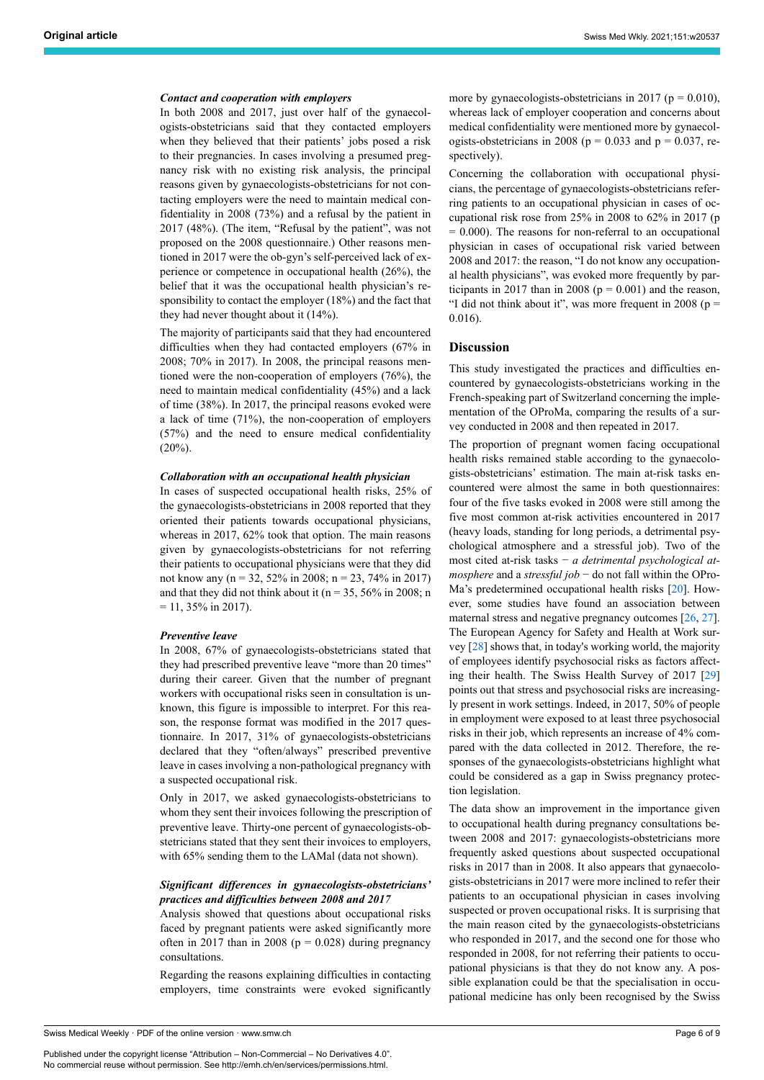#### *Contact and cooperation with employers*

In both 2008 and 2017, just over half of the gynaecologists-obstetricians said that they contacted employers when they believed that their patients' jobs posed a risk to their pregnancies. In cases involving a presumed pregnancy risk with no existing risk analysis, the principal reasons given by gynaecologists-obstetricians for not contacting employers were the need to maintain medical confidentiality in 2008 (73%) and a refusal by the patient in 2017 (48%). (The item, "Refusal by the patient", was not proposed on the 2008 questionnaire.) Other reasons mentioned in 2017 were the ob-gyn's self-perceived lack of experience or competence in occupational health (26%), the belief that it was the occupational health physician's responsibility to contact the employer (18%) and the fact that they had never thought about it (14%).

The majority of participants said that they had encountered difficulties when they had contacted employers (67% in 2008; 70% in 2017). In 2008, the principal reasons mentioned were the non-cooperation of employers (76%), the need to maintain medical confidentiality (45%) and a lack of time (38%). In 2017, the principal reasons evoked were a lack of time (71%), the non-cooperation of employers (57%) and the need to ensure medical confidentiality  $(20\%)$ .

#### *Collaboration with an occupational health physician*

In cases of suspected occupational health risks, 25% of the gynaecologists-obstetricians in 2008 reported that they oriented their patients towards occupational physicians, whereas in 2017, 62% took that option. The main reasons given by gynaecologists-obstetricians for not referring their patients to occupational physicians were that they did not know any (n = 32, 52% in 2008; n = 23, 74% in 2017) and that they did not think about it ( $n = 35, 56\%$  in 2008; n  $= 11, 35\%$  in 2017).

#### *Preventive leave*

In 2008, 67% of gynaecologists-obstetricians stated that they had prescribed preventive leave "more than 20 times" during their career. Given that the number of pregnant workers with occupational risks seen in consultation is unknown, this figure is impossible to interpret. For this reason, the response format was modified in the 2017 questionnaire. In 2017, 31% of gynaecologists-obstetricians declared that they "often/always" prescribed preventive leave in cases involving a non-pathological pregnancy with a suspected occupational risk.

Only in 2017, we asked gynaecologists-obstetricians to whom they sent their invoices following the prescription of preventive leave. Thirty-one percent of gynaecologists-obstetricians stated that they sent their invoices to employers, with 65% sending them to the LAMal (data not shown).

# *Significant differences in gynaecologists-obstetricians' practices and difficulties between 2008 and 2017*

Analysis showed that questions about occupational risks faced by pregnant patients were asked significantly more often in 2017 than in 2008 ( $p = 0.028$ ) during pregnancy consultations.

Regarding the reasons explaining difficulties in contacting employers, time constraints were evoked significantly

more by gynaecologists-obstetricians in 2017 ( $p = 0.010$ ), whereas lack of employer cooperation and concerns about medical confidentiality were mentioned more by gynaecologists-obstetricians in 2008 ( $p = 0.033$  and  $p = 0.037$ , respectively).

Concerning the collaboration with occupational physicians, the percentage of gynaecologists-obstetricians referring patients to an occupational physician in cases of occupational risk rose from 25% in 2008 to 62% in 2017 (p  $= 0.000$ ). The reasons for non-referral to an occupational physician in cases of occupational risk varied between 2008 and 2017: the reason, "I do not know any occupational health physicians", was evoked more frequently by participants in 2017 than in 2008 ( $p = 0.001$ ) and the reason, "I did not think about it", was more frequent in 2008 ( $p =$ 0.016).

#### **Discussion**

This study investigated the practices and difficulties encountered by gynaecologists-obstetricians working in the French-speaking part of Switzerland concerning the implementation of the OProMa, comparing the results of a survey conducted in 2008 and then repeated in 2017.

The proportion of pregnant women facing occupational health risks remained stable according to the gynaecologists-obstetricians' estimation. The main at-risk tasks encountered were almost the same in both questionnaires: four of the five tasks evoked in 2008 were still among the five most common at-risk activities encountered in 2017 (heavy loads, standing for long periods, a detrimental psychological atmosphere and a stressful job). Two of the most cited at-risk tasks − *a detrimental psychological atmosphere* and a *stressful job* − do not fall within the OPro-Ma's predetermined occupational health risks [\[20](#page-8-0)]. However, some studies have found an association between maternal stress and negative pregnancy outcomes [[26,](#page-8-17) [27](#page-8-18)]. The European Agency for Safety and Health at Work survey [\[28](#page-8-19)] shows that, in today's working world, the majority of employees identify psychosocial risks as factors affecting their health. The Swiss Health Survey of 2017 [\[29](#page-8-20)] points out that stress and psychosocial risks are increasingly present in work settings. Indeed, in 2017, 50% of people in employment were exposed to at least three psychosocial risks in their job, which represents an increase of 4% compared with the data collected in 2012. Therefore, the responses of the gynaecologists-obstetricians highlight what could be considered as a gap in Swiss pregnancy protection legislation.

The data show an improvement in the importance given to occupational health during pregnancy consultations between 2008 and 2017: gynaecologists-obstetricians more frequently asked questions about suspected occupational risks in 2017 than in 2008. It also appears that gynaecologists-obstetricians in 2017 were more inclined to refer their patients to an occupational physician in cases involving suspected or proven occupational risks. It is surprising that the main reason cited by the gynaecologists-obstetricians who responded in 2017, and the second one for those who responded in 2008, for not referring their patients to occupational physicians is that they do not know any. A possible explanation could be that the specialisation in occupational medicine has only been recognised by the Swiss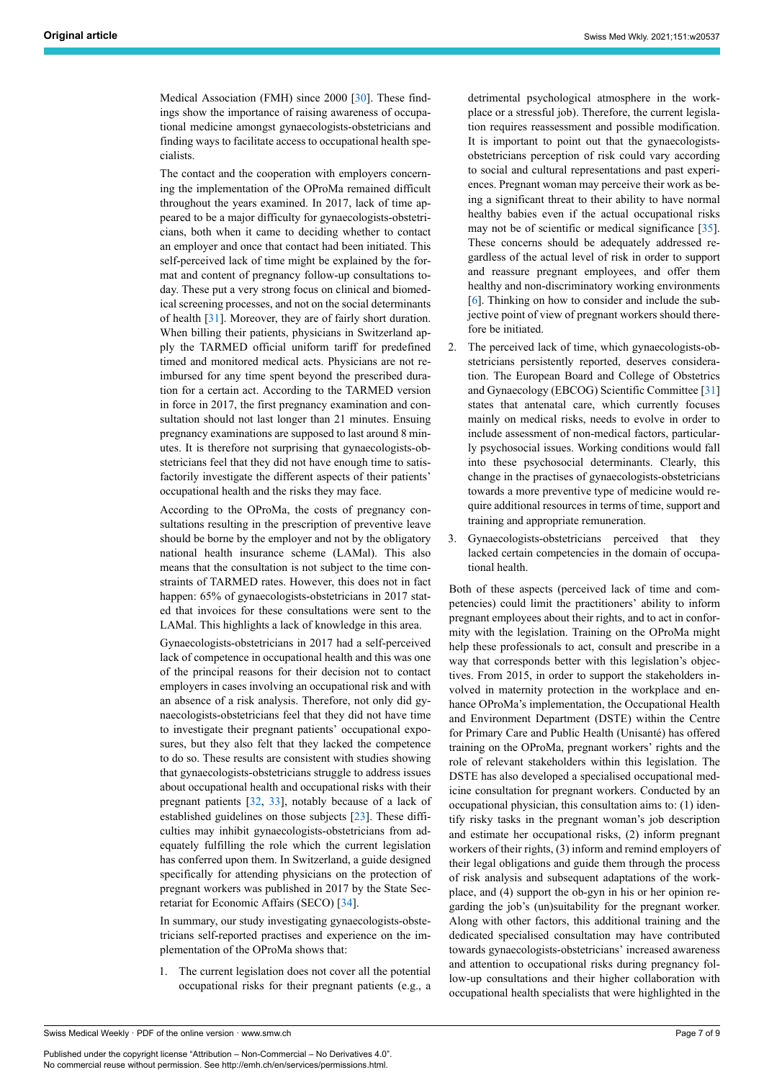Medical Association (FMH) since 2000 [[30\]](#page-8-21). These findings show the importance of raising awareness of occupational medicine amongst gynaecologists-obstetricians and finding ways to facilitate access to occupational health specialists.

The contact and the cooperation with employers concerning the implementation of the OProMa remained difficult throughout the years examined. In 2017, lack of time appeared to be a major difficulty for gynaecologists-obstetricians, both when it came to deciding whether to contact an employer and once that contact had been initiated. This self-perceived lack of time might be explained by the format and content of pregnancy follow-up consultations today. These put a very strong focus on clinical and biomedical screening processes, and not on the social determinants of health [\[31](#page-8-22)]. Moreover, they are of fairly short duration. When billing their patients, physicians in Switzerland apply the TARMED official uniform tariff for predefined timed and monitored medical acts. Physicians are not reimbursed for any time spent beyond the prescribed duration for a certain act. According to the TARMED version in force in 2017, the first pregnancy examination and consultation should not last longer than 21 minutes. Ensuing pregnancy examinations are supposed to last around 8 minutes. It is therefore not surprising that gynaecologists-obstetricians feel that they did not have enough time to satisfactorily investigate the different aspects of their patients' occupational health and the risks they may face.

According to the OProMa, the costs of pregnancy consultations resulting in the prescription of preventive leave should be borne by the employer and not by the obligatory national health insurance scheme (LAMal). This also means that the consultation is not subject to the time constraints of TARMED rates. However, this does not in fact happen: 65% of gynaecologists-obstetricians in 2017 stated that invoices for these consultations were sent to the LAMal. This highlights a lack of knowledge in this area.

Gynaecologists-obstetricians in 2017 had a self-perceived lack of competence in occupational health and this was one of the principal reasons for their decision not to contact employers in cases involving an occupational risk and with an absence of a risk analysis. Therefore, not only did gynaecologists-obstetricians feel that they did not have time to investigate their pregnant patients' occupational exposures, but they also felt that they lacked the competence to do so. These results are consistent with studies showing that gynaecologists-obstetricians struggle to address issues about occupational health and occupational risks with their pregnant patients [[32,](#page-8-8) [33\]](#page-8-23), notably because of a lack of established guidelines on those subjects [\[23](#page-8-15)]. These difficulties may inhibit gynaecologists-obstetricians from adequately fulfilling the role which the current legislation has conferred upon them. In Switzerland, a guide designed specifically for attending physicians on the protection of pregnant workers was published in 2017 by the State Secretariat for Economic Affairs (SECO) [[34\]](#page-8-9).

In summary, our study investigating gynaecologists-obstetricians self-reported practises and experience on the implementation of the OProMa shows that:

1. The current legislation does not cover all the potential occupational risks for their pregnant patients (e.g., a

detrimental psychological atmosphere in the workplace or a stressful job). Therefore, the current legislation requires reassessment and possible modification. It is important to point out that the gynaecologistsobstetricians perception of risk could vary according to social and cultural representations and past experiences. Pregnant woman may perceive their work as being a significant threat to their ability to have normal healthy babies even if the actual occupational risks may not be of scientific or medical significance [\[35](#page-8-11)]. These concerns should be adequately addressed regardless of the actual level of risk in order to support and reassure pregnant employees, and offer them healthy and non-discriminatory working environments [[6](#page-8-2)]. Thinking on how to consider and include the subjective point of view of pregnant workers should therefore be initiated.

- 2. The perceived lack of time, which gynaecologists-obstetricians persistently reported, deserves consideration. The European Board and College of Obstetrics and Gynaecology (EBCOG) Scientific Committee [\[31](#page-8-22)] states that antenatal care, which currently focuses mainly on medical risks, needs to evolve in order to include assessment of non-medical factors, particularly psychosocial issues. Working conditions would fall into these psychosocial determinants. Clearly, this change in the practises of gynaecologists-obstetricians towards a more preventive type of medicine would require additional resources in terms of time, support and training and appropriate remuneration.
- 3. Gynaecologists-obstetricians perceived that they lacked certain competencies in the domain of occupational health.

Both of these aspects (perceived lack of time and competencies) could limit the practitioners' ability to inform pregnant employees about their rights, and to act in conformity with the legislation. Training on the OProMa might help these professionals to act, consult and prescribe in a way that corresponds better with this legislation's objectives. From 2015, in order to support the stakeholders involved in maternity protection in the workplace and enhance OProMa's implementation, the Occupational Health and Environment Department (DSTE) within the Centre for Primary Care and Public Health (Unisanté) has offered training on the OProMa, pregnant workers' rights and the role of relevant stakeholders within this legislation. The DSTE has also developed a specialised occupational medicine consultation for pregnant workers. Conducted by an occupational physician, this consultation aims to: (1) identify risky tasks in the pregnant woman's job description and estimate her occupational risks, (2) inform pregnant workers of their rights, (3) inform and remind employers of their legal obligations and guide them through the process of risk analysis and subsequent adaptations of the workplace, and (4) support the ob-gyn in his or her opinion regarding the job's (un)suitability for the pregnant worker. Along with other factors, this additional training and the dedicated specialised consultation may have contributed towards gynaecologists-obstetricians' increased awareness and attention to occupational risks during pregnancy follow-up consultations and their higher collaboration with occupational health specialists that were highlighted in the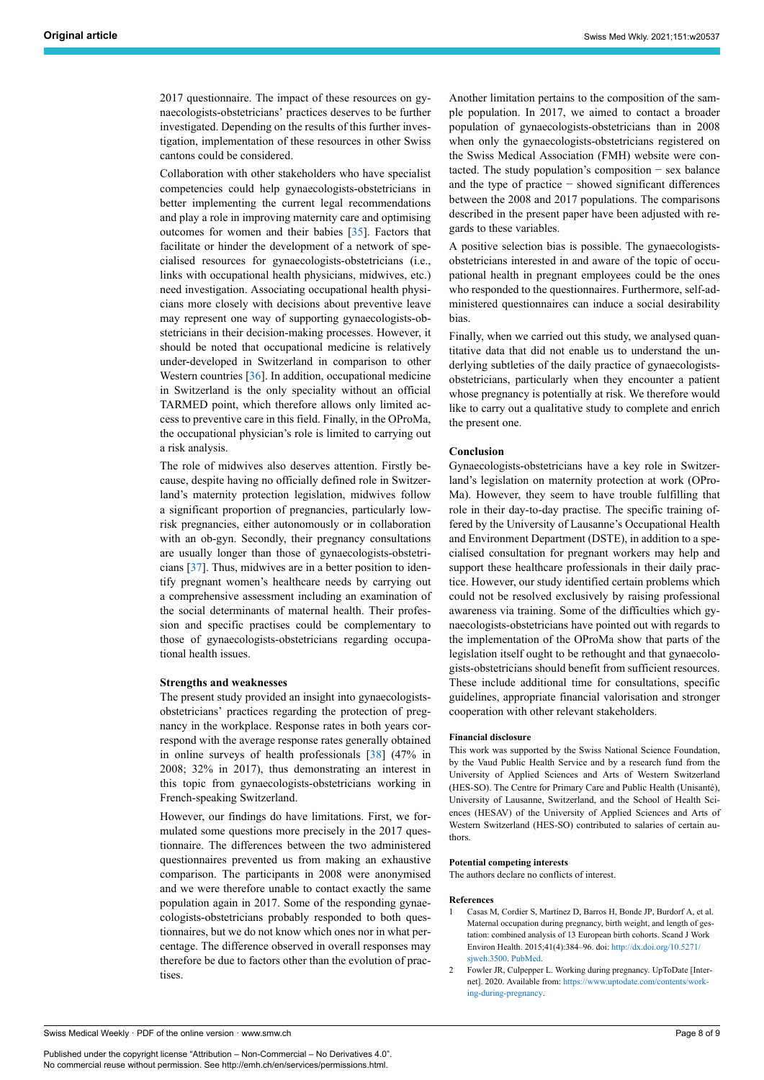2017 questionnaire. The impact of these resources on gynaecologists-obstetricians' practices deserves to be further investigated. Depending on the results of this further investigation, implementation of these resources in other Swiss cantons could be considered.

Collaboration with other stakeholders who have specialist competencies could help gynaecologists-obstetricians in better implementing the current legal recommendations and play a role in improving maternity care and optimising outcomes for women and their babies [\[35](#page-8-11)]. Factors that facilitate or hinder the development of a network of specialised resources for gynaecologists-obstetricians (i.e., links with occupational health physicians, midwives, etc.) need investigation. Associating occupational health physicians more closely with decisions about preventive leave may represent one way of supporting gynaecologists-obstetricians in their decision-making processes. However, it should be noted that occupational medicine is relatively under-developed in Switzerland in comparison to other Western countries [\[36](#page-8-24)]. In addition, occupational medicine in Switzerland is the only speciality without an official TARMED point, which therefore allows only limited access to preventive care in this field. Finally, in the OProMa, the occupational physician's role is limited to carrying out a risk analysis.

The role of midwives also deserves attention. Firstly because, despite having no officially defined role in Switzerland's maternity protection legislation, midwives follow a significant proportion of pregnancies, particularly lowrisk pregnancies, either autonomously or in collaboration with an ob-gyn. Secondly, their pregnancy consultations are usually longer than those of gynaecologists-obstetricians [[37\]](#page-8-25). Thus, midwives are in a better position to identify pregnant women's healthcare needs by carrying out a comprehensive assessment including an examination of the social determinants of maternal health. Their profession and specific practises could be complementary to those of gynaecologists-obstetricians regarding occupational health issues.

#### **Strengths and weaknesses**

The present study provided an insight into gynaecologistsobstetricians' practices regarding the protection of pregnancy in the workplace. Response rates in both years correspond with the average response rates generally obtained in online surveys of health professionals [\[38](#page-8-26)] (47% in 2008; 32% in 2017), thus demonstrating an interest in this topic from gynaecologists-obstetricians working in French-speaking Switzerland.

However, our findings do have limitations. First, we formulated some questions more precisely in the 2017 questionnaire. The differences between the two administered questionnaires prevented us from making an exhaustive comparison. The participants in 2008 were anonymised and we were therefore unable to contact exactly the same population again in 2017. Some of the responding gynaecologists-obstetricians probably responded to both questionnaires, but we do not know which ones nor in what percentage. The difference observed in overall responses may therefore be due to factors other than the evolution of practises.

Another limitation pertains to the composition of the sample population. In 2017, we aimed to contact a broader population of gynaecologists-obstetricians than in 2008 when only the gynaecologists-obstetricians registered on the Swiss Medical Association (FMH) website were contacted. The study population's composition − sex balance and the type of practice − showed significant differences between the 2008 and 2017 populations. The comparisons described in the present paper have been adjusted with regards to these variables.

A positive selection bias is possible. The gynaecologistsobstetricians interested in and aware of the topic of occupational health in pregnant employees could be the ones who responded to the questionnaires. Furthermore, self-administered questionnaires can induce a social desirability bias.

Finally, when we carried out this study, we analysed quantitative data that did not enable us to understand the underlying subtleties of the daily practice of gynaecologistsobstetricians, particularly when they encounter a patient whose pregnancy is potentially at risk. We therefore would like to carry out a qualitative study to complete and enrich the present one.

#### **Conclusion**

Gynaecologists-obstetricians have a key role in Switzerland's legislation on maternity protection at work (OPro-Ma). However, they seem to have trouble fulfilling that role in their day-to-day practise. The specific training offered by the University of Lausanne's Occupational Health and Environment Department (DSTE), in addition to a specialised consultation for pregnant workers may help and support these healthcare professionals in their daily practice. However, our study identified certain problems which could not be resolved exclusively by raising professional awareness via training. Some of the difficulties which gynaecologists-obstetricians have pointed out with regards to the implementation of the OProMa show that parts of the legislation itself ought to be rethought and that gynaecologists-obstetricians should benefit from sufficient resources. These include additional time for consultations, specific guidelines, appropriate financial valorisation and stronger cooperation with other relevant stakeholders.

#### **Financial disclosure**

This work was supported by the Swiss National Science Foundation, by the Vaud Public Health Service and by a research fund from the University of Applied Sciences and Arts of Western Switzerland (HES-SO). The Centre for Primary Care and Public Health (Unisanté), University of Lausanne, Switzerland, and the School of Health Sciences (HESAV) of the University of Applied Sciences and Arts of Western Switzerland (HES-SO) contributed to salaries of certain authors.

#### **Potential competing interests**

The authors declare no conflicts of interest.

#### **References**

- 1 Casas M, Cordier S, Martínez D, Barros H, Bonde JP, Burdorf A, et al. Maternal occupation during pregnancy, birth weight, and length of gestation: combined analysis of 13 European birth cohorts. Scand J Work Environ Health. 2015;41(4):384–96. doi: [http://dx.doi.org/10.5271/](http://dx.doi.org/10.5271/sjweh.3500) siweh.3500. [PubMed](http://www.ncbi.nlm.nih.gov/entrez/query.fcgi?cmd=Retrieve&db=PubMed&list_uids=25940455&dopt=Abstract).
- 2 Fowler JR, Culpepper L. Working during pregnancy. UpToDate [Internet]. 2020. Available from: [https://www.uptodate.com/contents/work](https://www.uptodate.com/contents/working-during-pregnancy)[ing-during-pregnancy](https://www.uptodate.com/contents/working-during-pregnancy).

<span id="page-7-1"></span><span id="page-7-0"></span>Swiss Medical Weekly · PDF of the online version · www.smw.ch